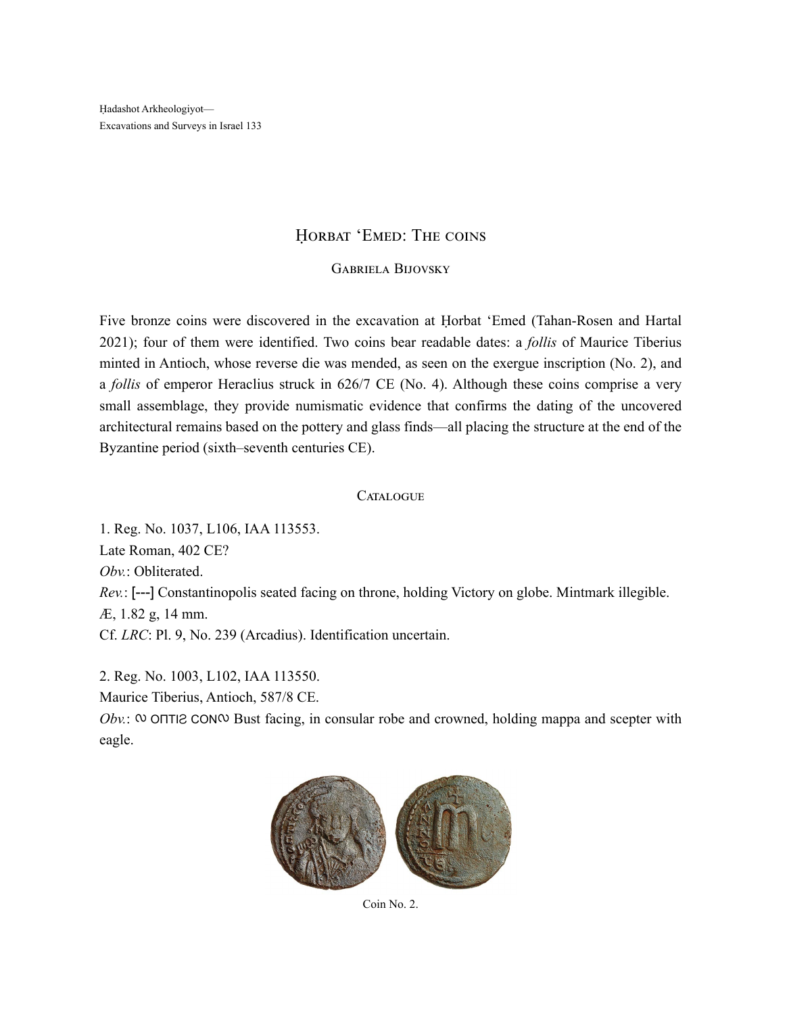Ḥadashot Arkheologiyot— Excavations and Surveys in Israel 133

## HORBAT 'EMED: THE COINS

## Gabriela Bijovsky

Five bronze coins were discovered in the excavation at Ḥorbat 'Emed (Tahan-Rosen and Hartal 2021); four of them were identified. Two coins bear readable dates: a *follis* of Maurice Tiberius minted in Antioch, whose reverse die was mended, as seen on the exergue inscription (No. 2), and a *follis* of emperor Heraclius struck in 626/7 CE (No. 4). Although these coins comprise a very small assemblage, they provide numismatic evidence that confirms the dating of the uncovered architectural remains based on the pottery and glass finds—all placing the structure at the end of the Byzantine period (sixth–seventh centuries CE).

## **CATALOGUE**

1. Reg. No. 1037, L106, IAA 113553. Late Roman, 402 CE? *Obv.*: Obliterated. *Rev.*: [---] Constantinopolis seated facing on throne, holding Victory on globe. Mintmark illegible. Æ, 1.82 g, 14 mm. Cf. *LRC*: Pl. 9, No. 239 (Arcadius). Identification uncertain.

2. Reg. No. 1003, L102, IAA 113550.

Maurice Tiberius, Antioch, 587/8 CE.

*Obv.*:  $\infty$  ΟΠΤΙ2 CΟΝ $\infty$  Bust facing, in consular robe and crowned, holding mappa and scepter with eagle.



Coin No. 2.